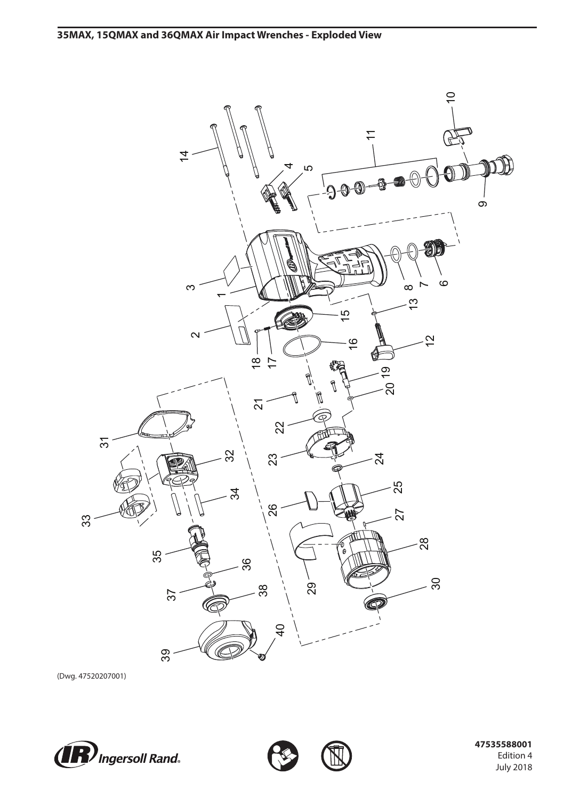

(Dwg. 47520207001)





 **47535588001** Edition 4 July 2018